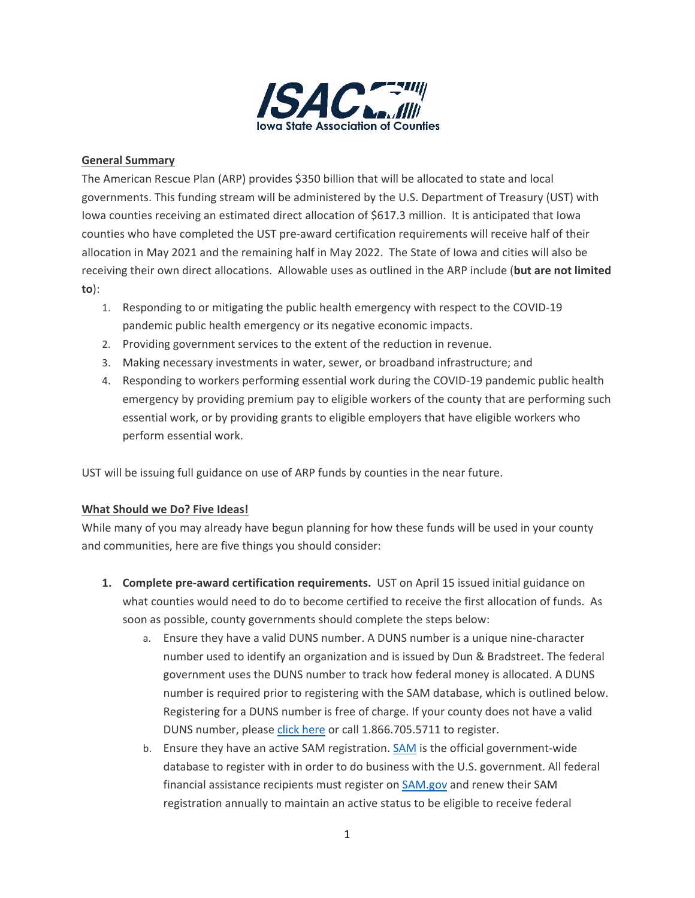

## **General Summary**

The American Rescue Plan (ARP) provides \$350 billion that will be allocated to state and local governments. This funding stream will be administered by the U.S. Department of Treasury (UST) with Iowa counties receiving an estimated direct allocation of \$617.3 million. It is anticipated that Iowa counties who have completed the UST pre-award certification requirements will receive half of their allocation in May 2021 and the remaining half in May 2022. The State of Iowa and cities will also be receiving their own direct allocations. Allowable uses as outlined in the ARP include (**but are not limited to**):

- 1. Responding to or mitigating the public health emergency with respect to the COVID-19 pandemic public health emergency or its negative economic impacts.
- 2. Providing government services to the extent of the reduction in revenue.
- 3. Making necessary investments in water, sewer, or broadband infrastructure; and
- 4. Responding to workers performing essential work during the COVID-19 pandemic public health emergency by providing premium pay to eligible workers of the county that are performing such essential work, or by providing grants to eligible employers that have eligible workers who perform essential work.

UST will be issuing full guidance on use of ARP funds by counties in the near future.

## **What Should we Do? Five Ideas!**

While many of you may already have begun planning for how these funds will be used in your county and communities, here are five things you should consider:

- **1. Complete pre-award certification requirements.** UST on April 15 issued initial guidance on what counties would need to do to become certified to receive the first allocation of funds. As soon as possible, county governments should complete the steps below:
	- a. Ensure they have a valid DUNS number. A DUNS number is a unique nine-character number used to identify an organization and is issued by Dun & Bradstreet. The federal government uses the DUNS number to track how federal money is allocated. A DUNS number is required prior to registering with the SAM database, which is outlined below. Registering for a DUNS number is free of charge. If your county does not have a valid DUNS number, please [click here](https://fedgov.dnb.com/webform/) or call 1.866.705.5711 to register.
	- b. Ensure they have an active [SAM](https://home.treasury.gov/system/files/136/New-to-SAM.gov-for-Financial-Assistance-April-2021.pdf) registration. SAM is the official government-wide database to register with in order to do business with the U.S. government. All federal financial assistance recipients must register on [SAM.gov](https://www.sam.gov/SAM/) and renew their SAM registration annually to maintain an active status to be eligible to receive federal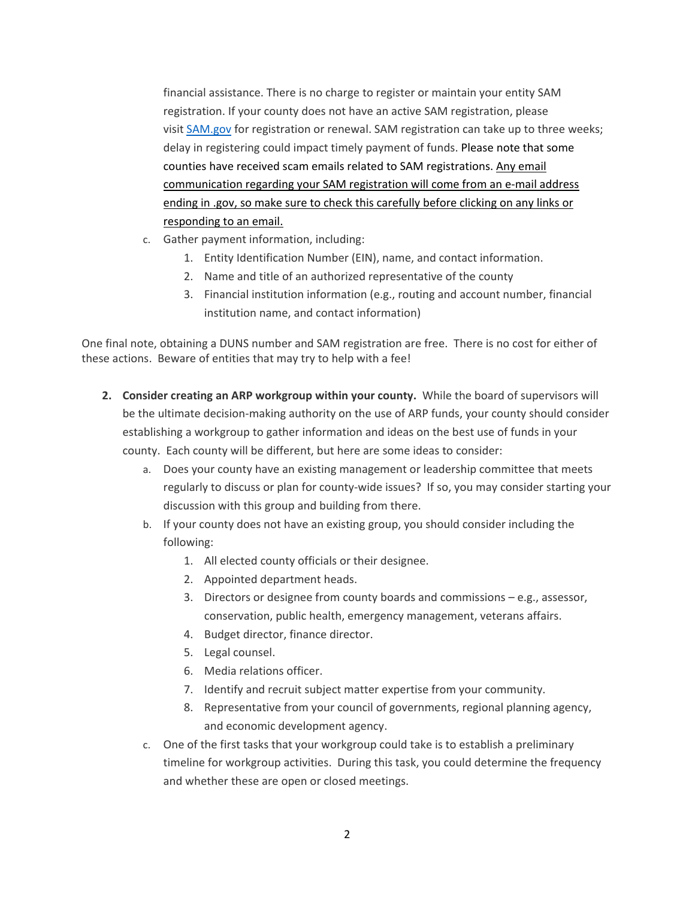financial assistance. There is no charge to register or maintain your entity SAM registration. If your county does not have an active SAM registration, please visit [SAM.gov](https://www.sam.gov/SAM/) for registration or renewal. SAM registration can take up to three weeks; delay in registering could impact timely payment of funds. Please note that some counties have received scam emails related to SAM registrations. Any email communication regarding your SAM registration will come from an e-mail address ending in .gov, so make sure to check this carefully before clicking on any links or responding to an email.

- c. Gather payment information, including:
	- 1. Entity Identification Number (EIN), name, and contact information.
	- 2. Name and title of an authorized representative of the county
	- 3. Financial institution information (e.g., routing and account number, financial institution name, and contact information)

One final note, obtaining a DUNS number and SAM registration are free. There is no cost for either of these actions. Beware of entities that may try to help with a fee!

- **2. Consider creating an ARP workgroup within your county.** While the board of supervisors will be the ultimate decision-making authority on the use of ARP funds, your county should consider establishing a workgroup to gather information and ideas on the best use of funds in your county. Each county will be different, but here are some ideas to consider:
	- a. Does your county have an existing management or leadership committee that meets regularly to discuss or plan for county-wide issues? If so, you may consider starting your discussion with this group and building from there.
	- b. If your county does not have an existing group, you should consider including the following:
		- 1. All elected county officials or their designee.
		- 2. Appointed department heads.
		- 3. Directors or designee from county boards and commissions e.g., assessor, conservation, public health, emergency management, veterans affairs.
		- 4. Budget director, finance director.
		- 5. Legal counsel.
		- 6. Media relations officer.
		- 7. Identify and recruit subject matter expertise from your community.
		- 8. Representative from your council of governments, regional planning agency, and economic development agency.
	- c. One of the first tasks that your workgroup could take is to establish a preliminary timeline for workgroup activities. During this task, you could determine the frequency and whether these are open or closed meetings.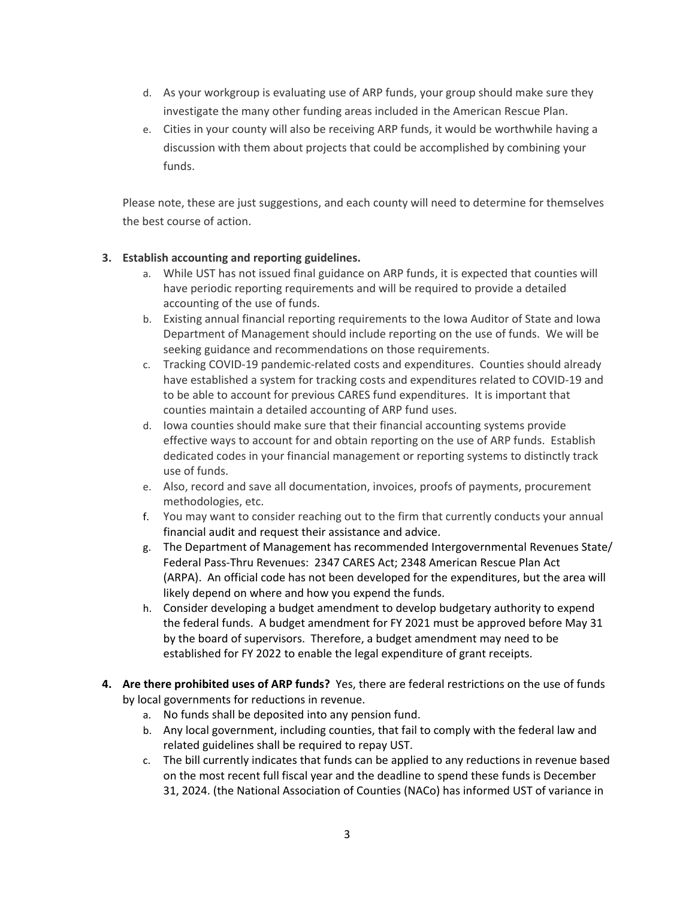- d. As your workgroup is evaluating use of ARP funds, your group should make sure they investigate the many other funding areas included in the American Rescue Plan.
- e. Cities in your county will also be receiving ARP funds, it would be worthwhile having a discussion with them about projects that could be accomplished by combining your funds.

Please note, these are just suggestions, and each county will need to determine for themselves the best course of action.

## **3. Establish accounting and reporting guidelines.**

- a. While UST has not issued final guidance on ARP funds, it is expected that counties will have periodic reporting requirements and will be required to provide a detailed accounting of the use of funds.
- b. Existing annual financial reporting requirements to the Iowa Auditor of State and Iowa Department of Management should include reporting on the use of funds. We will be seeking guidance and recommendations on those requirements.
- c. Tracking COVID-19 pandemic-related costs and expenditures. Counties should already have established a system for tracking costs and expenditures related to COVID-19 and to be able to account for previous CARES fund expenditures. It is important that counties maintain a detailed accounting of ARP fund uses.
- d. Iowa counties should make sure that their financial accounting systems provide effective ways to account for and obtain reporting on the use of ARP funds. Establish dedicated codes in your financial management or reporting systems to distinctly track use of funds.
- e. Also, record and save all documentation, invoices, proofs of payments, procurement methodologies, etc.
- f. You may want to consider reaching out to the firm that currently conducts your annual financial audit and request their assistance and advice.
- g. The Department of Management has recommended Intergovernmental Revenues State/ Federal Pass-Thru Revenues: 2347 CARES Act; 2348 American Rescue Plan Act (ARPA). An official code has not been developed for the expenditures, but the area will likely depend on where and how you expend the funds.
- h. Consider developing a budget amendment to develop budgetary authority to expend the federal funds. A budget amendment for FY 2021 must be approved before May 31 by the board of supervisors. Therefore, a budget amendment may need to be established for FY 2022 to enable the legal expenditure of grant receipts.
- **4. Are there prohibited uses of ARP funds?** Yes, there are federal restrictions on the use of funds by local governments for reductions in revenue.
	- a. No funds shall be deposited into any pension fund.
	- b. Any local government, including counties, that fail to comply with the federal law and related guidelines shall be required to repay UST.
	- c. The bill currently indicates that funds can be applied to any reductions in revenue based on the most recent full fiscal year and the deadline to spend these funds is December 31, 2024. (the National Association of Counties (NACo) has informed UST of variance in